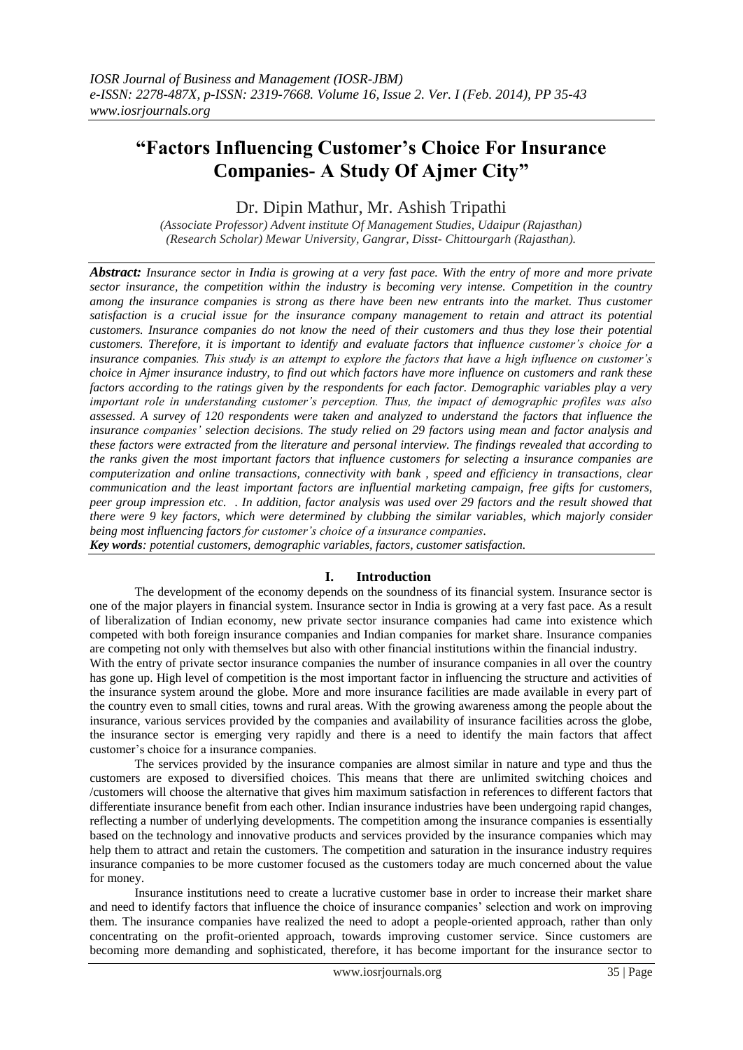# **"Factors Influencing Customer's Choice For Insurance Companies- A Study Of Ajmer City"**

Dr. Dipin Mathur, Mr. Ashish Tripathi

*(Associate Professor) Advent institute Of Management Studies, Udaipur (Rajasthan) (Research Scholar) Mewar University, Gangrar, Disst- Chittourgarh (Rajasthan).*

*Abstract: Insurance sector in India is growing at a very fast pace. With the entry of more and more private sector insurance, the competition within the industry is becoming very intense. Competition in the country among the insurance companies is strong as there have been new entrants into the market. Thus customer satisfaction is a crucial issue for the insurance company management to retain and attract its potential customers. Insurance companies do not know the need of their customers and thus they lose their potential customers. Therefore, it is important to identify and evaluate factors that influence customer's choice for a insurance companies. This study is an attempt to explore the factors that have a high influence on customer's choice in Ajmer insurance industry, to find out which factors have more influence on customers and rank these factors according to the ratings given by the respondents for each factor. Demographic variables play a very important role in understanding customer's perception. Thus, the impact of demographic profiles was also assessed. A survey of 120 respondents were taken and analyzed to understand the factors that influence the insurance companies' selection decisions. The study relied on 29 factors using mean and factor analysis and these factors were extracted from the literature and personal interview. The findings revealed that according to the ranks given the most important factors that influence customers for selecting a insurance companies are computerization and online transactions, connectivity with bank , speed and efficiency in transactions, clear communication and the least important factors are influential marketing campaign, free gifts for customers, peer group impression etc. . In addition, factor analysis was used over 29 factors and the result showed that there were 9 key factors, which were determined by clubbing the similar variables, which majorly consider being most influencing factors for customer's choice of a insurance companies.*

*Key words: potential customers, demographic variables, factors, customer satisfaction.*

# **I. Introduction**

The development of the economy depends on the soundness of its financial system. Insurance sector is one of the major players in financial system. Insurance sector in India is growing at a very fast pace. As a result of liberalization of Indian economy, new private sector insurance companies had came into existence which competed with both foreign insurance companies and Indian companies for market share. Insurance companies are competing not only with themselves but also with other financial institutions within the financial industry.

With the entry of private sector insurance companies the number of insurance companies in all over the country has gone up. High level of competition is the most important factor in influencing the structure and activities of the insurance system around the globe. More and more insurance facilities are made available in every part of the country even to small cities, towns and rural areas. With the growing awareness among the people about the insurance, various services provided by the companies and availability of insurance facilities across the globe, the insurance sector is emerging very rapidly and there is a need to identify the main factors that affect customer"s choice for a insurance companies.

The services provided by the insurance companies are almost similar in nature and type and thus the customers are exposed to diversified choices. This means that there are unlimited switching choices and /customers will choose the alternative that gives him maximum satisfaction in references to different factors that differentiate insurance benefit from each other. Indian insurance industries have been undergoing rapid changes, reflecting a number of underlying developments. The competition among the insurance companies is essentially based on the technology and innovative products and services provided by the insurance companies which may help them to attract and retain the customers. The competition and saturation in the insurance industry requires insurance companies to be more customer focused as the customers today are much concerned about the value for money.

Insurance institutions need to create a lucrative customer base in order to increase their market share and need to identify factors that influence the choice of insurance companies' selection and work on improving them. The insurance companies have realized the need to adopt a people-oriented approach, rather than only concentrating on the profit-oriented approach, towards improving customer service. Since customers are becoming more demanding and sophisticated, therefore, it has become important for the insurance sector to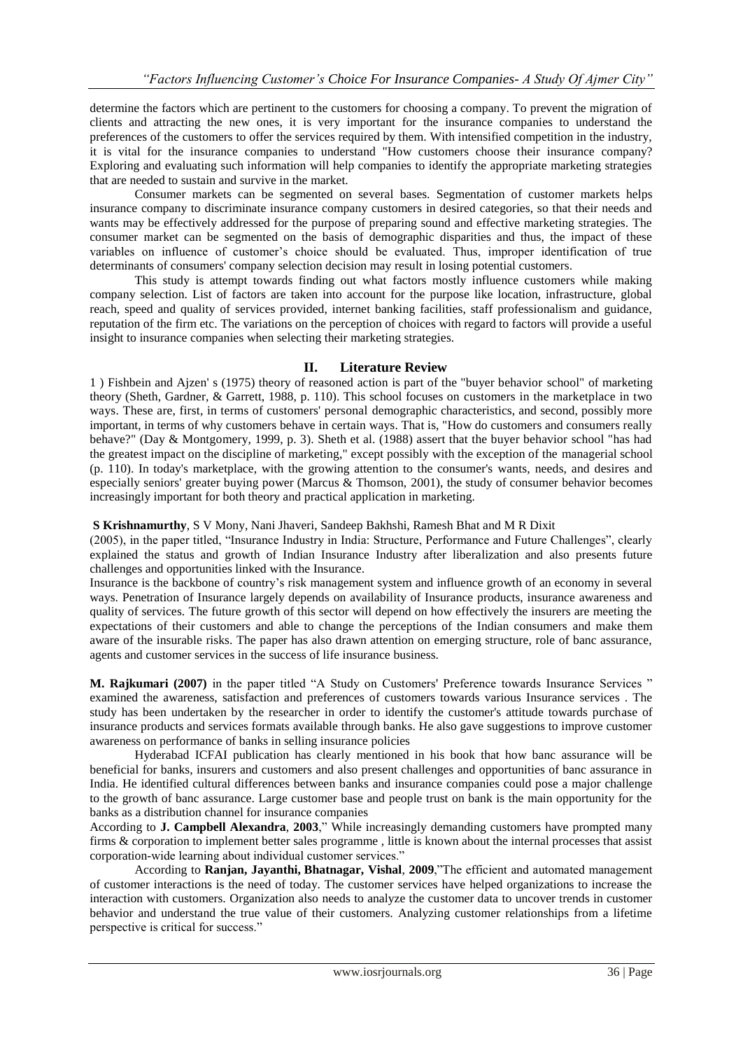determine the factors which are pertinent to the customers for choosing a company. To prevent the migration of clients and attracting the new ones, it is very important for the insurance companies to understand the preferences of the customers to offer the services required by them. With intensified competition in the industry, it is vital for the insurance companies to understand "How customers choose their insurance company? Exploring and evaluating such information will help companies to identify the appropriate marketing strategies that are needed to sustain and survive in the market.

Consumer markets can be segmented on several bases. Segmentation of customer markets helps insurance company to discriminate insurance company customers in desired categories, so that their needs and wants may be effectively addressed for the purpose of preparing sound and effective marketing strategies. The consumer market can be segmented on the basis of demographic disparities and thus, the impact of these variables on influence of customer"s choice should be evaluated. Thus, improper identification of true determinants of consumers' company selection decision may result in losing potential customers.

This study is attempt towards finding out what factors mostly influence customers while making company selection. List of factors are taken into account for the purpose like location, infrastructure, global reach, speed and quality of services provided, internet banking facilities, staff professionalism and guidance, reputation of the firm etc. The variations on the perception of choices with regard to factors will provide a useful insight to insurance companies when selecting their marketing strategies.

## **II. Literature Review**

1 ) Fishbein and Ajzen' s (1975) theory of reasoned action is part of the "buyer behavior school" of marketing theory (Sheth, Gardner, & Garrett, 1988, p. 110). This school focuses on customers in the marketplace in two ways. These are, first, in terms of customers' personal demographic characteristics, and second, possibly more important, in terms of why customers behave in certain ways. That is, "How do customers and consumers really behave?" (Day & Montgomery, 1999, p. 3). Sheth et al. (1988) assert that the buyer behavior school "has had the greatest impact on the discipline of marketing," except possibly with the exception of the managerial school (p. 110). In today's marketplace, with the growing attention to the consumer's wants, needs, and desires and especially seniors' greater buying power (Marcus & Thomson, 2001), the study of consumer behavior becomes increasingly important for both theory and practical application in marketing.

**S Krishnamurthy**, S V Mony, Nani Jhaveri, Sandeep Bakhshi, Ramesh Bhat and M R Dixit

(2005), in the paper titled, "Insurance Industry in India: Structure, Performance and Future Challenges", clearly explained the status and growth of Indian Insurance Industry after liberalization and also presents future challenges and opportunities linked with the Insurance.

Insurance is the backbone of country"s risk management system and influence growth of an economy in several ways. Penetration of Insurance largely depends on availability of Insurance products, insurance awareness and quality of services. The future growth of this sector will depend on how effectively the insurers are meeting the expectations of their customers and able to change the perceptions of the Indian consumers and make them aware of the insurable risks. The paper has also drawn attention on emerging structure, role of banc assurance, agents and customer services in the success of life insurance business.

**M. Rajkumari (2007)** in the paper titled "A Study on Customers' Preference towards Insurance Services " examined the awareness, satisfaction and preferences of customers towards various Insurance services . The study has been undertaken by the researcher in order to identify the customer's attitude towards purchase of insurance products and services formats available through banks. He also gave suggestions to improve customer awareness on performance of banks in selling insurance policies

Hyderabad ICFAI publication has clearly mentioned in his book that how banc assurance will be beneficial for banks, insurers and customers and also present challenges and opportunities of banc assurance in India. He identified cultural differences between banks and insurance companies could pose a major challenge to the growth of banc assurance. Large customer base and people trust on bank is the main opportunity for the banks as a distribution channel for insurance companies

According to **J. [Campbell](http://www.sciencedirect.com/science?_ob=ArticleURL&_udi=B6V69-47X72HM-6&_user=10&_rdoc=1&_fmt=&_orig=search&_sort=d&view=c&_acct=C000050221&_version=1&_urlVersion=0&_userid=10&md5=53bc6659b117cead8ee758d7d2d8bd9b#vt1) Alexandra**, **2003**," While increasingly demanding customers have prompted many firms & corporation to implement better sales programme , little is known about the internal processes that assist corporation-wide learning about individual customer services."

According to **Ranjan, Jayanthi, Bhatnagar, Vishal**, **2009**,"The efficient and automated management of customer interactions is the need of today. The customer services have helped organizations to increase the interaction with customers. Organization also needs to analyze the customer data to uncover trends in customer behavior and understand the true value of their customers. Analyzing customer relationships from a lifetime perspective is critical for success."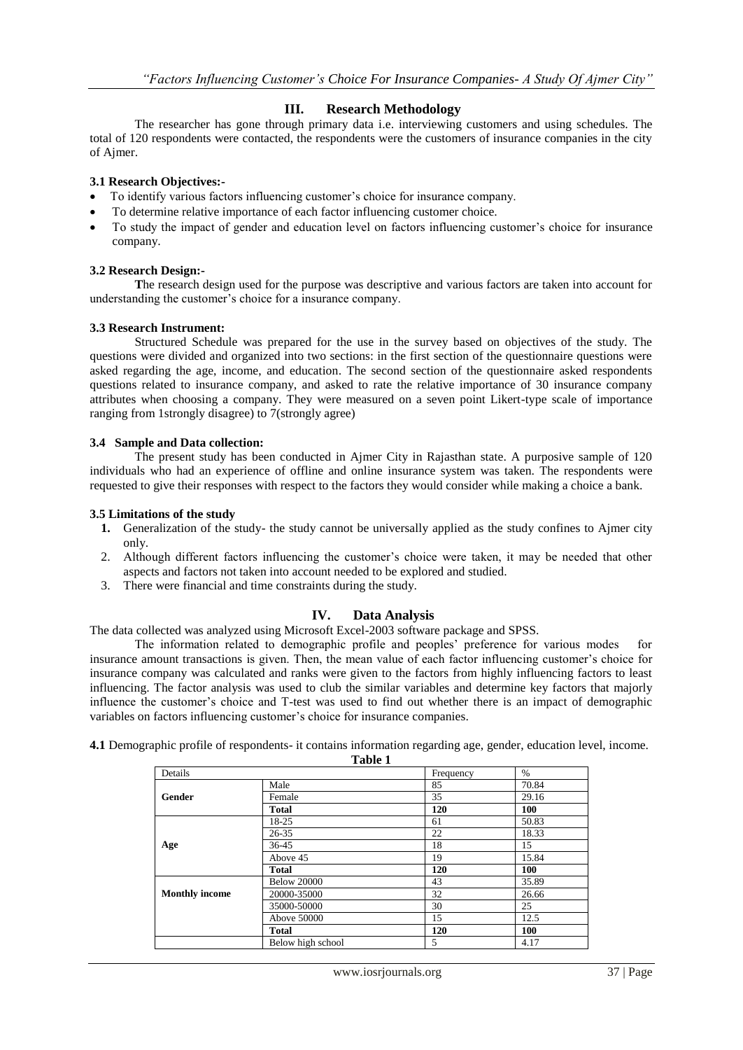## **III. Research Methodology**

The researcher has gone through primary data i.e. interviewing customers and using schedules. The total of 120 respondents were contacted, the respondents were the customers of insurance companies in the city of Ajmer.

## **3.1 Research Objectives:-**

- To identify various factors influencing customer"s choice for insurance company.
- To determine relative importance of each factor influencing customer choice.
- To study the impact of gender and education level on factors influencing customer"s choice for insurance company.

## **3.2 Research Design:-**

**T**he research design used for the purpose was descriptive and various factors are taken into account for understanding the customer's choice for a insurance company.

## **3.3 Research Instrument:**

Structured Schedule was prepared for the use in the survey based on objectives of the study. The questions were divided and organized into two sections: in the first section of the questionnaire questions were asked regarding the age, income, and education. The second section of the questionnaire asked respondents questions related to insurance company, and asked to rate the relative importance of 30 insurance company attributes when choosing a company. They were measured on a seven point Likert-type scale of importance ranging from 1strongly disagree) to 7(strongly agree)

#### **3.4 Sample and Data collection:**

The present study has been conducted in Ajmer City in Rajasthan state. A purposive sample of 120 individuals who had an experience of offline and online insurance system was taken. The respondents were requested to give their responses with respect to the factors they would consider while making a choice a bank.

## **3.5 Limitations of the study**

- **1.** Generalization of the study- the study cannot be universally applied as the study confines to Ajmer city only.
- 2. Although different factors influencing the customer"s choice were taken, it may be needed that other aspects and factors not taken into account needed to be explored and studied.
- 3. There were financial and time constraints during the study.

## **IV. Data Analysis**

The data collected was analyzed using Microsoft Excel-2003 software package and SPSS.

The information related to demographic profile and peoples' preference for various modes for insurance amount transactions is given. Then, the mean value of each factor influencing customer"s choice for insurance company was calculated and ranks were given to the factors from highly influencing factors to least influencing. The factor analysis was used to club the similar variables and determine key factors that majorly influence the customer's choice and T-test was used to find out whether there is an impact of demographic variables on factors influencing customer's choice for insurance companies.

**4.1** Demographic profile of respondents- it contains information regarding age, gender, education level, income.

|                       | Table 1            |           |               |  |
|-----------------------|--------------------|-----------|---------------|--|
| Details               |                    | Frequency | $\frac{0}{0}$ |  |
|                       | Male               | 85        | 70.84         |  |
| Gender                | Female             | 35        | 29.16         |  |
|                       | <b>Total</b>       | 120       | 100           |  |
|                       | 18-25              | 61        | 50.83         |  |
|                       | $26 - 35$          | 22        | 18.33         |  |
| Age                   | 36-45              | 18        | 15            |  |
|                       | Above 45           | 19        | 15.84         |  |
|                       | <b>Total</b>       | 120       | 100           |  |
|                       | <b>Below 20000</b> | 43        | 35.89         |  |
| <b>Monthly income</b> | 20000-35000        | 32        | 26.66         |  |
|                       | 35000-50000        | 30        | 25            |  |
|                       | Above 50000        | 15        | 12.5          |  |
|                       | <b>Total</b>       | 120       | 100           |  |
|                       | Below high school  | 5         | 4.17          |  |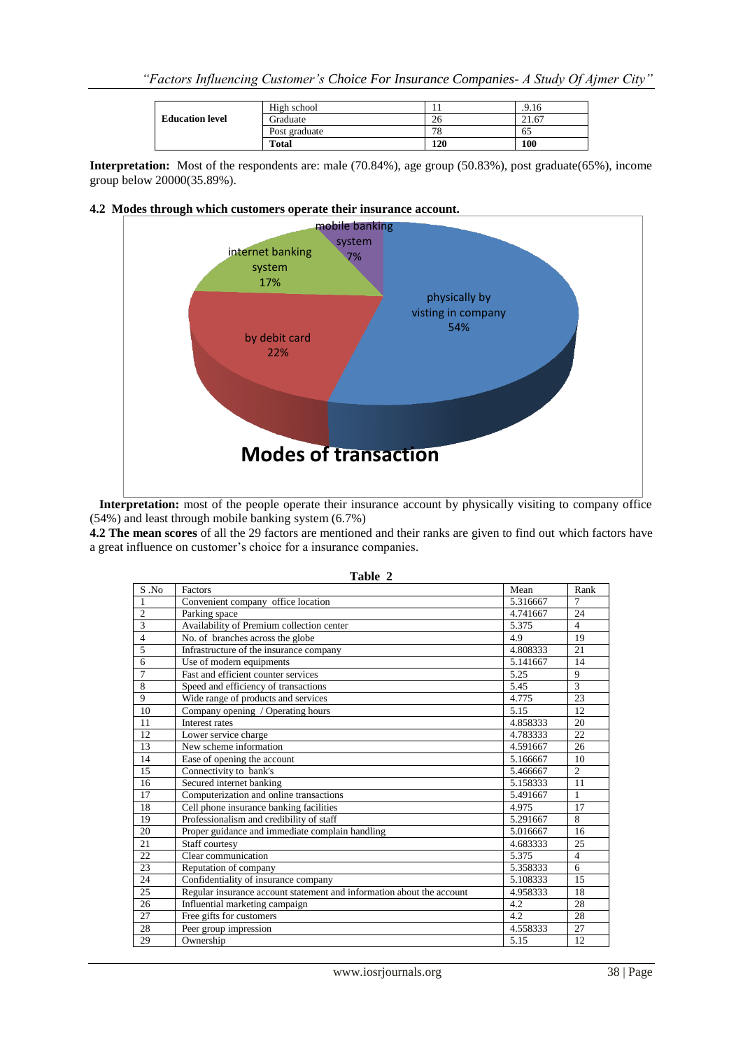|                        | High school   |     | .9.16 |
|------------------------|---------------|-----|-------|
| <b>Education level</b> | Graduate      | 26  | 21.67 |
|                        | Post graduate | 78  | 65    |
|                        | <b>Total</b>  | 120 | 100   |

**Interpretation:** Most of the respondents are: male (70.84%), age group (50.83%), post graduate(65%), income group below 20000(35.89%).

#### **4.2 Modes through which customers operate their insurance account.**



 **Interpretation:** most of the people operate their insurance account by physically visiting to company office (54%) and least through mobile banking system (6.7%)

**4.2 The mean scores** of all the 29 factors are mentioned and their ranks are given to find out which factors have a great influence on customer's choice for a insurance companies.

| Table 2        |                                                                       |          |                |  |  |  |  |
|----------------|-----------------------------------------------------------------------|----------|----------------|--|--|--|--|
| S .No          | Factors                                                               | Mean     | Rank           |  |  |  |  |
| 1              | Convenient company office location                                    | 5.316667 | $\tau$         |  |  |  |  |
| $\overline{2}$ | Parking space                                                         | 4.741667 | 24             |  |  |  |  |
| 3              | Availability of Premium collection center                             | 5.375    | $\overline{4}$ |  |  |  |  |
| $\overline{4}$ | No. of branches across the globe                                      | 4.9      | 19             |  |  |  |  |
| 5              | Infrastructure of the insurance company                               | 4.808333 | 21             |  |  |  |  |
| 6              | Use of modern equipments                                              | 5.141667 | 14             |  |  |  |  |
| $\overline{7}$ | Fast and efficient counter services                                   | 5.25     | 9              |  |  |  |  |
| 8              | Speed and efficiency of transactions                                  | 5.45     | 3              |  |  |  |  |
| 9              | Wide range of products and services                                   | 4.775    | 23             |  |  |  |  |
| 10             | Company opening / Operating hours                                     | 5.15     | 12             |  |  |  |  |
| 11             | Interest rates                                                        | 4.858333 | 20             |  |  |  |  |
| 12             | Lower service charge                                                  | 4.783333 | 22             |  |  |  |  |
| 13             | New scheme information                                                | 4.591667 | 26             |  |  |  |  |
| 14             | Ease of opening the account                                           | 5.166667 | 10             |  |  |  |  |
| 15             | Connectivity to bank's                                                | 5.466667 | $\overline{2}$ |  |  |  |  |
| 16             | Secured internet banking                                              | 5.158333 | 11             |  |  |  |  |
| 17             | Computerization and online transactions                               | 5.491667 | 1              |  |  |  |  |
| 18             | Cell phone insurance banking facilities                               | 4.975    | 17             |  |  |  |  |
| 19             | Professionalism and credibility of staff                              | 5.291667 | 8              |  |  |  |  |
| 20             | Proper guidance and immediate complain handling                       | 5.016667 | 16             |  |  |  |  |
| 21             | Staff courtesy                                                        | 4.683333 | 25             |  |  |  |  |
| 22             | Clear communication                                                   | 5.375    | $\overline{4}$ |  |  |  |  |
| 23             | Reputation of company                                                 | 5.358333 | 6              |  |  |  |  |
| 24             | Confidentiality of insurance company                                  | 5.108333 | 15             |  |  |  |  |
| 25             | Regular insurance account statement and information about the account | 4.958333 | 18             |  |  |  |  |
| 26             | Influential marketing campaign                                        | 4.2      | 28             |  |  |  |  |
| 27             | Free gifts for customers                                              | 4.2      | 28             |  |  |  |  |
| 28             | Peer group impression                                                 | 4.558333 | 27             |  |  |  |  |
| 29             | Ownership                                                             | 5.15     | 12             |  |  |  |  |

| н<br>m<br>я |  |
|-------------|--|
|-------------|--|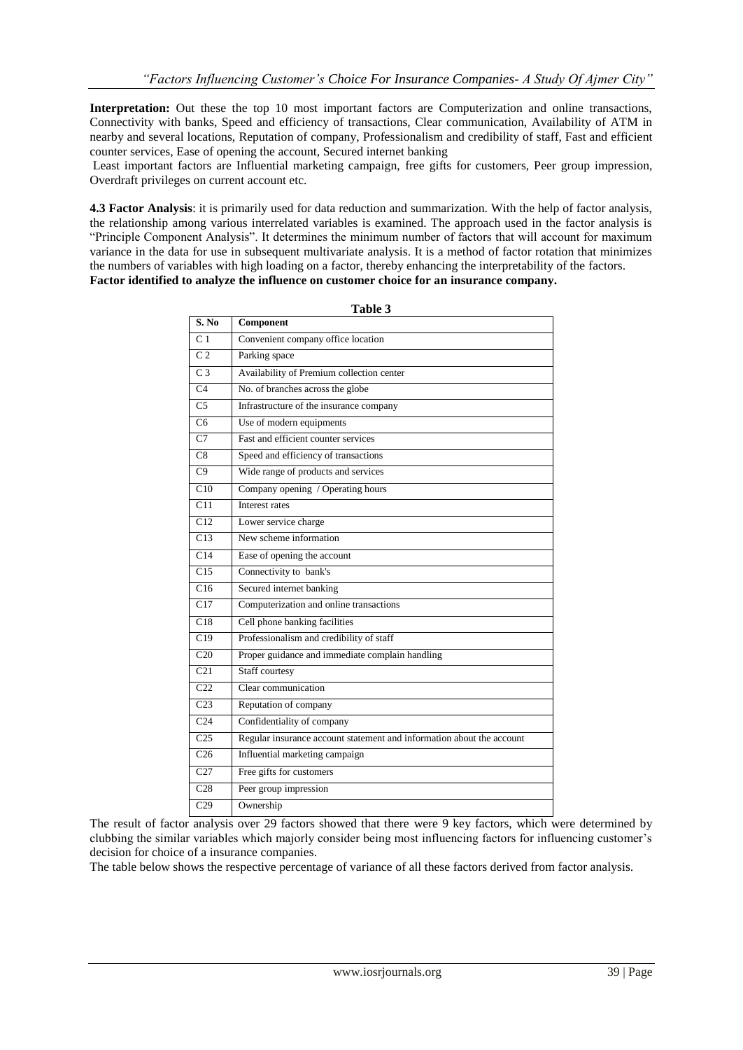**Interpretation:** Out these the top 10 most important factors are Computerization and online transactions, Connectivity with banks, Speed and efficiency of transactions, Clear communication, Availability of ATM in nearby and several locations, Reputation of company, Professionalism and credibility of staff, Fast and efficient counter services, Ease of opening the account, Secured internet banking

Least important factors are Influential marketing campaign, free gifts for customers, Peer group impression, Overdraft privileges on current account etc.

**4.3 Factor Analysis**: it is primarily used for data reduction and summarization. With the help of factor analysis, the relationship among various interrelated variables is examined. The approach used in the factor analysis is "Principle Component Analysis". It determines the minimum number of factors that will account for maximum variance in the data for use in subsequent multivariate analysis. It is a method of factor rotation that minimizes the numbers of variables with high loading on a factor, thereby enhancing the interpretability of the factors. **Factor identified to analyze the influence on customer choice for an insurance company.**

| S. No            | таріе э<br>Component                                                  |
|------------------|-----------------------------------------------------------------------|
| C <sub>1</sub>   | Convenient company office location                                    |
| C <sub>2</sub>   | Parking space                                                         |
| $\overline{C}$ 3 | Availability of Premium collection center                             |
| C <sub>4</sub>   | No. of branches across the globe                                      |
| C <sub>5</sub>   | Infrastructure of the insurance company                               |
| C <sub>6</sub>   | Use of modern equipments                                              |
| C <sub>7</sub>   | Fast and efficient counter services                                   |
| C8               | Speed and efficiency of transactions                                  |
| C9               | Wide range of products and services                                   |
| C10              | Company opening / Operating hours                                     |
| C11              | Interest rates                                                        |
| $\overline{C12}$ | Lower service charge                                                  |
| C13              | New scheme information                                                |
| C14              | Ease of opening the account                                           |
| C15              | Connectivity to bank's                                                |
| C16              | Secured internet banking                                              |
| C17              | Computerization and online transactions                               |
| C18              | Cell phone banking facilities                                         |
| C19              | Professionalism and credibility of staff                              |
| C <sub>20</sub>  | Proper guidance and immediate complain handling                       |
| $\overline{C21}$ | Staff courtesy                                                        |
| C <sub>22</sub>  | Clear communication                                                   |
| C <sub>23</sub>  | Reputation of company                                                 |
| C <sub>24</sub>  | Confidentiality of company                                            |
| $\overline{C25}$ | Regular insurance account statement and information about the account |
| C <sub>26</sub>  | Influential marketing campaign                                        |
| C27              | Free gifts for customers                                              |
| C <sub>28</sub>  | Peer group impression                                                 |
| $\overline{C29}$ | Ownership                                                             |

**Table 3**

The result of factor analysis over 29 factors showed that there were 9 key factors, which were determined by clubbing the similar variables which majorly consider being most influencing factors for influencing customer"s decision for choice of a insurance companies.

The table below shows the respective percentage of variance of all these factors derived from factor analysis.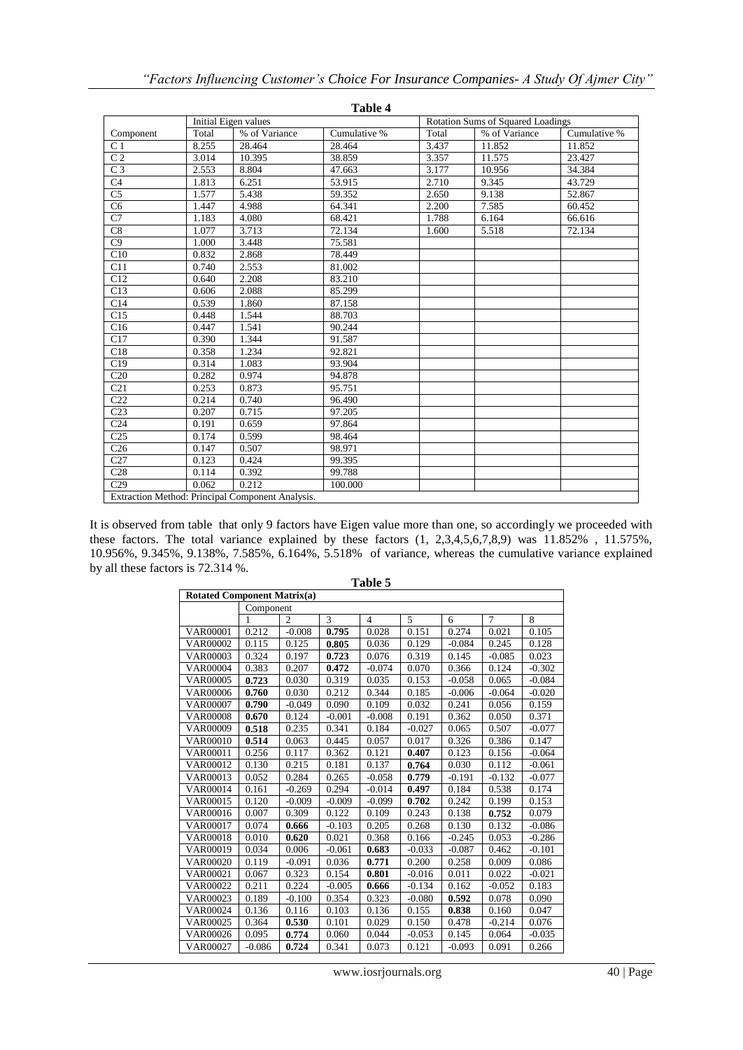| Table 4          |                      |                                                  |              |                                          |               |              |  |
|------------------|----------------------|--------------------------------------------------|--------------|------------------------------------------|---------------|--------------|--|
|                  | Initial Eigen values |                                                  |              | <b>Rotation Sums of Squared Loadings</b> |               |              |  |
| Component        | Total                | % of Variance                                    | Cumulative % | Total                                    | % of Variance | Cumulative % |  |
| C <sub>1</sub>   | 8.255                | 28.464                                           | 28.464       | 3.437                                    | 11.852        | 11.852       |  |
| C <sub>2</sub>   | 3.014                | 10.395                                           | 38.859       | 3.357                                    | 11.575        | 23.427       |  |
| C <sub>3</sub>   | 2.553                | 8.804                                            | 47.663       | 3.177                                    | 10.956        | 34.384       |  |
| C <sub>4</sub>   | 1.813                | 6.251                                            | 53.915       | 2.710                                    | 9.345         | 43.729       |  |
| C <sub>5</sub>   | 1.577                | 5.438                                            | 59.352       | 2.650                                    | 9.138         | 52.867       |  |
| $\overline{C6}$  | 1.447                | 4.988                                            | 64.341       | 2.200                                    | 7.585         | 60.452       |  |
| $\overline{C7}$  | 1.183                | 4.080                                            | 68.421       | 1.788                                    | 6.164         | 66.616       |  |
| C8               | 1.077                | 3.713                                            | 72.134       | 1.600                                    | 5.518         | 72.134       |  |
| $\overline{C9}$  | 1.000                | 3.448                                            | 75.581       |                                          |               |              |  |
| C10              | 0.832                | 2.868                                            | 78.449       |                                          |               |              |  |
| C11              | 0.740                | 2.553                                            | 81.002       |                                          |               |              |  |
| C12              | 0.640                | 2.208                                            | 83.210       |                                          |               |              |  |
| C13              | 0.606                | 2.088                                            | 85.299       |                                          |               |              |  |
| C14              | 0.539                | 1.860                                            | 87.158       |                                          |               |              |  |
| C15              | 0.448                | 1.544                                            | 88.703       |                                          |               |              |  |
| C16              | 0.447                | 1.541                                            | 90.244       |                                          |               |              |  |
| C17              | 0.390                | 1.344                                            | 91.587       |                                          |               |              |  |
| C18              | 0.358                | 1.234                                            | 92.821       |                                          |               |              |  |
| C19              | 0.314                | 1.083                                            | 93.904       |                                          |               |              |  |
| C20              | 0.282                | 0.974                                            | 94.878       |                                          |               |              |  |
| C <sub>21</sub>  | 0.253                | 0.873                                            | 95.751       |                                          |               |              |  |
| $\overline{C22}$ | 0.214                | 0.740                                            | 96.490       |                                          |               |              |  |
| C <sub>23</sub>  | 0.207                | 0.715                                            | 97.205       |                                          |               |              |  |
| C <sub>24</sub>  | 0.191                | 0.659                                            | 97.864       |                                          |               |              |  |
| C <sub>25</sub>  | 0.174                | 0.599                                            | 98.464       |                                          |               |              |  |
| C <sub>26</sub>  | 0.147                | 0.507                                            | 98.971       |                                          |               |              |  |
| C27              | 0.123                | 0.424                                            | 99.395       |                                          |               |              |  |
| C28              | 0.114                | 0.392                                            | 99.788       |                                          |               |              |  |
| C29              | 0.062                | 0.212                                            | 100.000      |                                          |               |              |  |
|                  |                      | Extraction Method: Principal Component Analysis. |              |                                          |               |              |  |

It is observed from table that only 9 factors have Eigen value more than one, so accordingly we proceeded with these factors. The total variance explained by these factors (1, 2,3,4,5,6,7,8,9) was 11.852% , 11.575%, 10.956%, 9.345%, 9.138%, 7.585%, 6.164%, 5.518% of variance, whereas the cumulative variance explained by all these factors is 72.314 %.

| <b>Rotated Component Matrix(a)</b> |           |                |          |                |          |          |                |          |
|------------------------------------|-----------|----------------|----------|----------------|----------|----------|----------------|----------|
|                                    | Component |                |          |                |          |          |                |          |
|                                    | 1         | $\overline{c}$ | 3        | $\overline{4}$ | 5        | 6        | $\overline{7}$ | 8        |
| <b>VAR00001</b>                    | 0.212     | $-0.008$       | 0.795    | 0.028          | 0.151    | 0.274    | 0.021          | 0.105    |
| VAR00002                           | 0.115     | 0.125          | 0.805    | 0.036          | 0.129    | $-0.084$ | 0.245          | 0.128    |
| VAR00003                           | 0.324     | 0.197          | 0.723    | 0.076          | 0.319    | 0.145    | $-0.085$       | 0.023    |
| <b>VAR00004</b>                    | 0.383     | 0.207          | 0.472    | $-0.074$       | 0.070    | 0.366    | 0.124          | $-0.302$ |
| <b>VAR00005</b>                    | 0.723     | 0.030          | 0.319    | 0.035          | 0.153    | $-0.058$ | 0.065          | $-0.084$ |
| <b>VAR00006</b>                    | 0.760     | 0.030          | 0.212    | 0.344          | 0.185    | $-0.006$ | $-0.064$       | $-0.020$ |
| <b>VAR00007</b>                    | 0.790     | $-0.049$       | 0.090    | 0.109          | 0.032    | 0.241    | 0.056          | 0.159    |
| VAR00008                           | 0.670     | 0.124          | $-0.001$ | $-0.008$       | 0.191    | 0.362    | 0.050          | 0.371    |
| VAR00009                           | 0.518     | 0.235          | 0.341    | 0.184          | $-0.027$ | 0.065    | 0.507          | $-0.077$ |
| <b>VAR00010</b>                    | 0.514     | 0.063          | 0.445    | 0.057          | 0.017    | 0.326    | 0.386          | 0.147    |
| VAR00011                           | 0.256     | 0.117          | 0.362    | 0.121          | 0.407    | 0.123    | 0.156          | $-0.064$ |
| VAR00012                           | 0.130     | 0.215          | 0.181    | 0.137          | 0.764    | 0.030    | 0.112          | $-0.061$ |
| VAR00013                           | 0.052     | 0.284          | 0.265    | $-0.058$       | 0.779    | $-0.191$ | $-0.132$       | $-0.077$ |
| VAR00014                           | 0.161     | $-0.269$       | 0.294    | $-0.014$       | 0.497    | 0.184    | 0.538          | 0.174    |
| VAR00015                           | 0.120     | $-0.009$       | $-0.009$ | $-0.099$       | 0.702    | 0.242    | 0.199          | 0.153    |
| VAR00016                           | 0.007     | 0.309          | 0.122    | 0.109          | 0.243    | 0.138    | 0.752          | 0.079    |
| VAR00017                           | 0.074     | 0.666          | $-0.103$ | 0.205          | 0.268    | 0.130    | 0.132          | $-0.086$ |
| VAR00018                           | 0.010     | 0.620          | 0.021    | 0.368          | 0.166    | $-0.245$ | 0.053          | $-0.286$ |
| VAR00019                           | 0.034     | 0.006          | $-0.061$ | 0.683          | $-0.033$ | $-0.087$ | 0.462          | $-0.101$ |
| VAR00020                           | 0.119     | $-0.091$       | 0.036    | 0.771          | 0.200    | 0.258    | 0.009          | 0.086    |
| VAR00021                           | 0.067     | 0.323          | 0.154    | 0.801          | $-0.016$ | 0.011    | 0.022          | $-0.021$ |
| VAR00022                           | 0.211     | 0.224          | $-0.005$ | 0.666          | $-0.134$ | 0.162    | $-0.052$       | 0.183    |
| VAR00023                           | 0.189     | $-0.100$       | 0.354    | 0.323          | $-0.080$ | 0.592    | 0.078          | 0.090    |
| VAR00024                           | 0.136     | 0.116          | 0.103    | 0.136          | 0.155    | 0.838    | 0.160          | 0.047    |
| VAR00025                           | 0.364     | 0.530          | 0.101    | 0.029          | 0.150    | 0.478    | $-0.214$       | 0.076    |
| VAR00026                           | 0.095     | 0.774          | 0.060    | 0.044          | $-0.053$ | 0.145    | 0.064          | $-0.035$ |
| VAR00027                           | $-0.086$  | 0.724          | 0.341    | 0.073          | 0.121    | $-0.093$ | 0.091          | 0.266    |

**Table 5**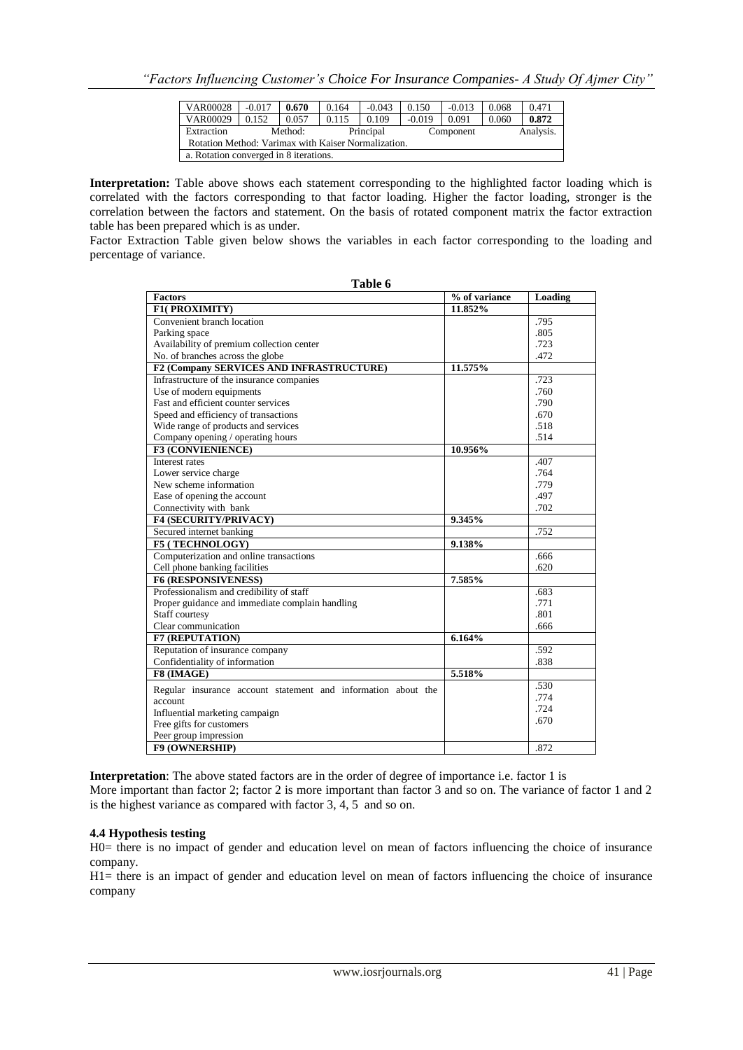| <b>VAR00028</b>                                     | $-0.017$ | 0.670   | 0.164 | $-0.043$  | 0.150    | $-0.013$  | 0.068 | 0.471     |
|-----------------------------------------------------|----------|---------|-------|-----------|----------|-----------|-------|-----------|
| VAR00029                                            | 0.152    | 0.057   | 0.115 | 0.109     | $-0.019$ | 0.091     | 0.060 | 0.872     |
| Extraction                                          |          | Method: |       | Principal |          | Component |       | Analysis. |
| Rotation Method: Varimax with Kaiser Normalization. |          |         |       |           |          |           |       |           |
| a. Rotation converged in 8 iterations.              |          |         |       |           |          |           |       |           |

**Interpretation:** Table above shows each statement corresponding to the highlighted factor loading which is correlated with the factors corresponding to that factor loading. Higher the factor loading, stronger is the correlation between the factors and statement. On the basis of rotated component matrix the factor extraction table has been prepared which is as under.

Factor Extraction Table given below shows the variables in each factor corresponding to the loading and percentage of variance.

**Table 6**

| <b>Factors</b>                                                | % of variance | Loading |
|---------------------------------------------------------------|---------------|---------|
| F1(PROXIMITY)                                                 | 11.852%       |         |
| Convenient branch location                                    |               | .795    |
| Parking space                                                 |               | .805    |
| Availability of premium collection center                     |               | .723    |
| No. of branches across the globe                              |               | .472    |
| F2 (Company SERVICES AND INFRASTRUCTURE)                      | 11.575%       |         |
| Infrastructure of the insurance companies                     |               | .723    |
| Use of modern equipments                                      |               | .760    |
| Fast and efficient counter services                           |               | .790    |
| Speed and efficiency of transactions                          |               | .670    |
| Wide range of products and services                           |               | .518    |
| Company opening / operating hours                             |               | .514    |
| F3 (CONVIENIENCE)                                             | 10.956%       |         |
| Interest rates                                                |               | .407    |
| Lower service charge                                          |               | .764    |
| New scheme information                                        |               | .779    |
| Ease of opening the account                                   |               | .497    |
| Connectivity with bank                                        |               | .702    |
| <b>F4 (SECURITY/PRIVACY)</b>                                  | 9.345%        |         |
| Secured internet banking                                      |               | .752    |
| <b>F5 (TECHNOLOGY)</b>                                        | 9.138%        |         |
| Computerization and online transactions                       |               | .666    |
| Cell phone banking facilities                                 |               | .620    |
| <b>F6 (RESPONSIVENESS)</b>                                    | 7.585%        |         |
| Professionalism and credibility of staff                      |               | .683    |
| Proper guidance and immediate complain handling               |               | .771    |
| Staff courtesy                                                |               | .801    |
| Clear communication                                           |               | .666    |
| <b>F7 (REPUTATION)</b>                                        | 6.164%        |         |
| Reputation of insurance company                               |               | .592    |
| Confidentiality of information                                |               | .838    |
| F8 (IMAGE)                                                    | 5.518%        |         |
| Regular insurance account statement and information about the |               | .530    |
| account                                                       |               | .774    |
| Influential marketing campaign                                |               | .724    |
| Free gifts for customers                                      |               | .670    |
| Peer group impression                                         |               |         |
| <b>F9 (OWNERSHIP)</b>                                         |               | .872    |

**Interpretation**: The above stated factors are in the order of degree of importance i.e. factor 1 is More important than factor 2; factor 2 is more important than factor 3 and so on. The variance of factor 1 and 2 is the highest variance as compared with factor 3, 4, 5 and so on.

#### **4.4 Hypothesis testing**

H0= there is no impact of gender and education level on mean of factors influencing the choice of insurance company.

H1= there is an impact of gender and education level on mean of factors influencing the choice of insurance company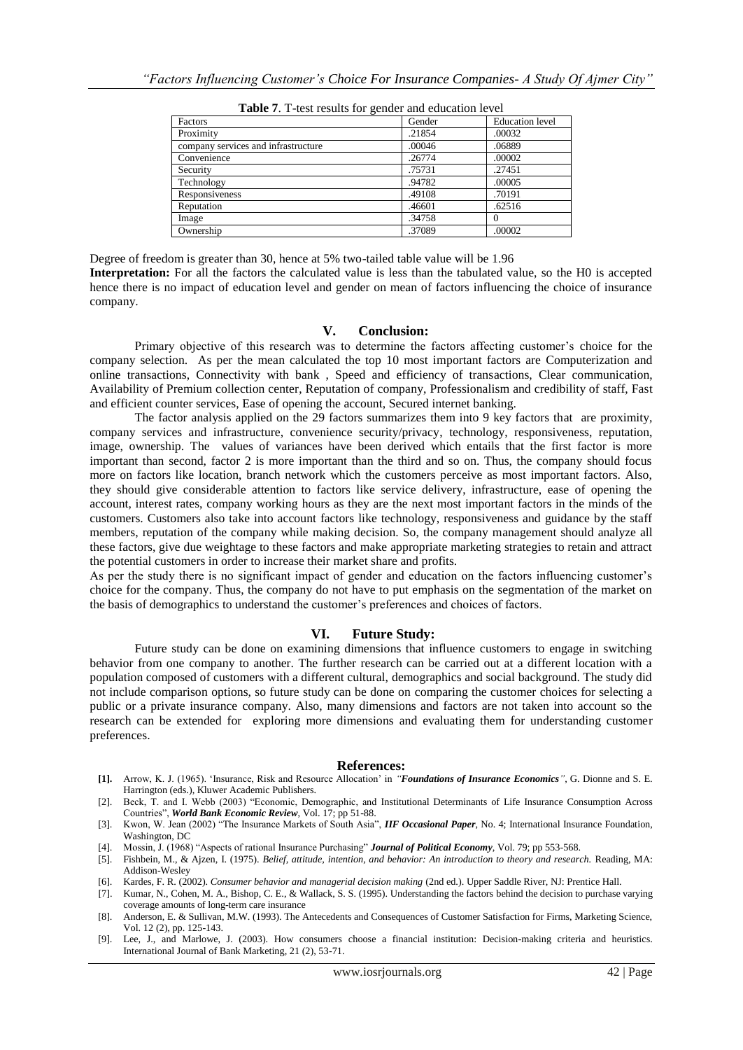| Factors                             | Gender | <b>Education</b> level |
|-------------------------------------|--------|------------------------|
| Proximity                           | .21854 | .00032                 |
| company services and infrastructure | .00046 | .06889                 |
| Convenience                         | .26774 | .00002                 |
| Security                            | .75731 | .27451                 |
| Technology                          | .94782 | .00005                 |
| Responsiveness                      | .49108 | .70191                 |
| Reputation                          | .46601 | .62516                 |
| Image                               | .34758 |                        |
| Ownership                           | .37089 | .00002                 |

**Table 7**. T-test results for gender and education level

Degree of freedom is greater than 30, hence at 5% two-tailed table value will be 1.96 **Interpretation:** For all the factors the calculated value is less than the tabulated value, so the H0 is accepted hence there is no impact of education level and gender on mean of factors influencing the choice of insurance company.

#### **V. Conclusion:**

Primary objective of this research was to determine the factors affecting customer"s choice for the company selection. As per the mean calculated the top 10 most important factors are Computerization and online transactions, Connectivity with bank , Speed and efficiency of transactions, Clear communication, Availability of Premium collection center, Reputation of company, Professionalism and credibility of staff, Fast and efficient counter services, Ease of opening the account, Secured internet banking.

The factor analysis applied on the 29 factors summarizes them into 9 key factors that are proximity, company services and infrastructure, convenience security/privacy, technology, responsiveness, reputation, image, ownership. The values of variances have been derived which entails that the first factor is more important than second, factor 2 is more important than the third and so on. Thus, the company should focus more on factors like location, branch network which the customers perceive as most important factors. Also, they should give considerable attention to factors like service delivery, infrastructure, ease of opening the account, interest rates, company working hours as they are the next most important factors in the minds of the customers. Customers also take into account factors like technology, responsiveness and guidance by the staff members, reputation of the company while making decision. So, the company management should analyze all these factors, give due weightage to these factors and make appropriate marketing strategies to retain and attract the potential customers in order to increase their market share and profits.

As per the study there is no significant impact of gender and education on the factors influencing customer"s choice for the company. Thus, the company do not have to put emphasis on the segmentation of the market on the basis of demographics to understand the customer"s preferences and choices of factors.

#### **VI. Future Study:**

Future study can be done on examining dimensions that influence customers to engage in switching behavior from one company to another. The further research can be carried out at a different location with a population composed of customers with a different cultural, demographics and social background. The study did not include comparison options, so future study can be done on comparing the customer choices for selecting a public or a private insurance company. Also, many dimensions and factors are not taken into account so the research can be extended for exploring more dimensions and evaluating them for understanding customer preferences.

#### **References:**

- **[1].** Arrow, K. J. (1965). "Insurance, Risk and Resource Allocation" in *"Foundations of Insurance Economics"*, G. Dionne and S. E. Harrington (eds.), Kluwer Academic Publishers.
- [2]. Beck, T. and I. Webb (2003) "Economic, Demographic, and Institutional Determinants of Life Insurance Consumption Across Countries", *World Bank Economic Review*, Vol. 17; pp 51-88.
- [3]. Kwon, W. Jean (2002) "The Insurance Markets of South Asia", *IIF Occasional Paper*, No. 4; International Insurance Foundation, Washington, DC<br>Mossin, J. (1968) "Aspects of rational Insurance Purchasing" **Journal of Political Economy**, Vol. 79; pp 553-568.
- [4]. Mossin, J. (1968) "Aspects of rational Insurance Purchasing" *Journal of Political Economy*, Vol. 79; pp 553-568.
- [5]. Fishbein, M., & Ajzen, I. (1975). *Belief, attitude, intention, and behavior: An introduction to theory and research.* Reading, MA: Addison-Wesley
- [6]. Kardes, F. R. (2002). *Consumer behavior and managerial decision making* (2nd ed.). Upper Saddle River, NJ: Prentice Hall.
- [7]. Kumar, N., Cohen, M. A., Bishop, C. E., & Wallack, S. S. (1995). Understanding the factors behind the decision to purchase varying coverage amounts of long-term care insurance
- [8]. Anderson, E. & Sullivan, M.W. (1993). The Antecedents and Consequences of Customer Satisfaction for Firms, Marketing Science, Vol. 12 (2), pp. 125-143.
- [9]. Lee, J., and Marlowe, J. (2003). How consumers choose a financial institution: Decision-making criteria and heuristics. International Journal of Bank Marketing, 21 (2), 53-71.